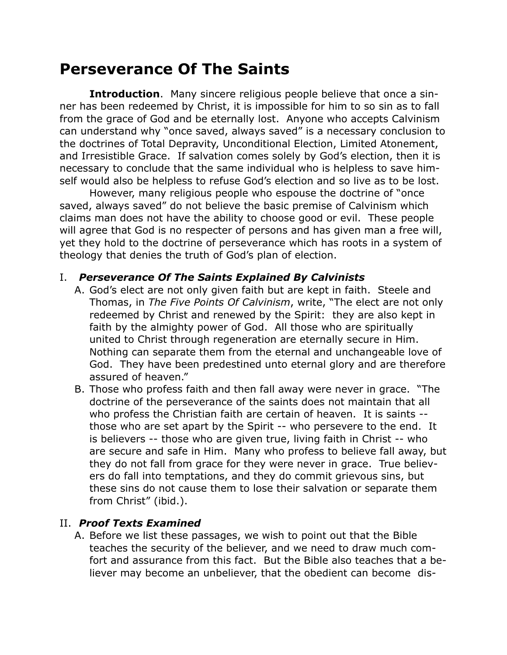## **Perseverance Of The Saints**

**Introduction**. Many sincere religious people believe that once a sinner has been redeemed by Christ, it is impossible for him to so sin as to fall from the grace of God and be eternally lost. Anyone who accepts Calvinism can understand why "once saved, always saved" is a necessary conclusion to the doctrines of Total Depravity, Unconditional Election, Limited Atonement, and Irresistible Grace. If salvation comes solely by God's election, then it is necessary to conclude that the same individual who is helpless to save himself would also be helpless to refuse God's election and so live as to be lost.

However, many religious people who espouse the doctrine of "once saved, always saved" do not believe the basic premise of Calvinism which claims man does not have the ability to choose good or evil. These people will agree that God is no respecter of persons and has given man a free will, yet they hold to the doctrine of perseverance which has roots in a system of theology that denies the truth of God's plan of election.

## I. *Perseverance Of The Saints Explained By Calvinists*

- A. God's elect are not only given faith but are kept in faith. Steele and Thomas, in *The Five Points Of Calvinism*, write, "The elect are not only redeemed by Christ and renewed by the Spirit: they are also kept in faith by the almighty power of God. All those who are spiritually united to Christ through regeneration are eternally secure in Him. Nothing can separate them from the eternal and unchangeable love of God. They have been predestined unto eternal glory and are therefore assured of heaven."
- B. Those who profess faith and then fall away were never in grace. "The doctrine of the perseverance of the saints does not maintain that all who profess the Christian faith are certain of heaven. It is saints - those who are set apart by the Spirit -- who persevere to the end. It is believers -- those who are given true, living faith in Christ -- who are secure and safe in Him. Many who profess to believe fall away, but they do not fall from grace for they were never in grace. True believers do fall into temptations, and they do commit grievous sins, but these sins do not cause them to lose their salvation or separate them from Christ" (ibid.).

## II. *Proof Texts Examined*

A. Before we list these passages, we wish to point out that the Bible teaches the security of the believer, and we need to draw much comfort and assurance from this fact. But the Bible also teaches that a believer may become an unbeliever, that the obedient can become dis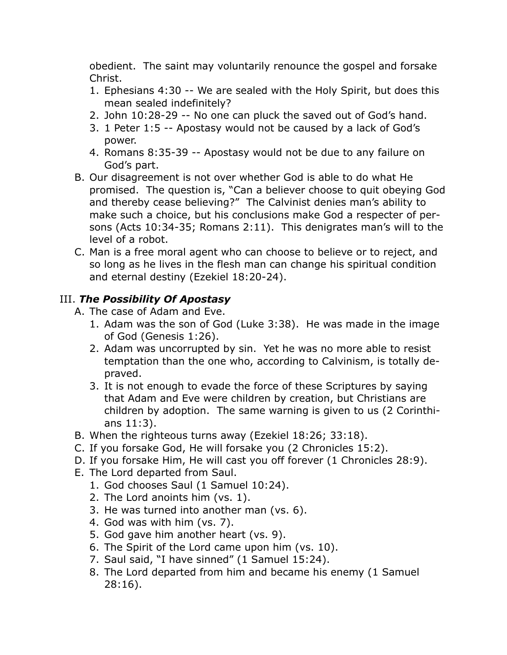obedient. The saint may voluntarily renounce the gospel and forsake Christ.

- 1. Ephesians 4:30 -- We are sealed with the Holy Spirit, but does this mean sealed indefinitely?
- 2. John 10:28-29 -- No one can pluck the saved out of God's hand.
- 3. 1 Peter 1:5 -- Apostasy would not be caused by a lack of God's power.
- 4. Romans 8:35-39 -- Apostasy would not be due to any failure on God's part.
- B. Our disagreement is not over whether God is able to do what He promised. The question is, "Can a believer choose to quit obeying God and thereby cease believing?" The Calvinist denies man's ability to make such a choice, but his conclusions make God a respecter of persons (Acts 10:34-35; Romans 2:11). This denigrates man's will to the level of a robot.
- C. Man is a free moral agent who can choose to believe or to reject, and so long as he lives in the flesh man can change his spiritual condition and eternal destiny (Ezekiel 18:20-24).

## III. *The Possibility Of Apostasy*

- A. The case of Adam and Eve.
	- 1. Adam was the son of God (Luke 3:38). He was made in the image of God (Genesis 1:26).
	- 2. Adam was uncorrupted by sin. Yet he was no more able to resist temptation than the one who, according to Calvinism, is totally depraved.
	- 3. It is not enough to evade the force of these Scriptures by saying that Adam and Eve were children by creation, but Christians are children by adoption. The same warning is given to us (2 Corinthians 11:3).
- B. When the righteous turns away (Ezekiel 18:26; 33:18).
- C. If you forsake God, He will forsake you (2 Chronicles 15:2).
- D. If you forsake Him, He will cast you off forever (1 Chronicles 28:9).
- E. The Lord departed from Saul.
	- 1. God chooses Saul (1 Samuel 10:24).
	- 2. The Lord anoints him (vs. 1).
	- 3. He was turned into another man (vs. 6).
	- 4. God was with him (vs. 7).
	- 5. God gave him another heart (vs. 9).
	- 6. The Spirit of the Lord came upon him (vs. 10).
	- 7. Saul said, "I have sinned" (1 Samuel 15:24).
	- 8. The Lord departed from him and became his enemy (1 Samuel 28:16).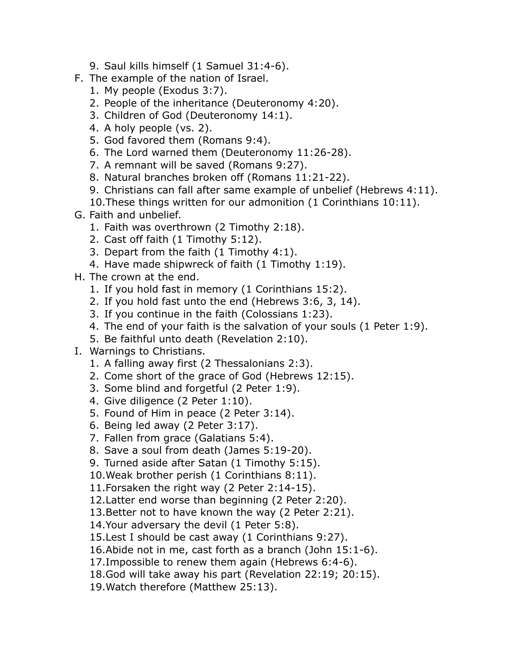- 9. Saul kills himself (1 Samuel 31:4-6).
- F. The example of the nation of Israel.
	- 1. My people (Exodus 3:7).
	- 2. People of the inheritance (Deuteronomy 4:20).
	- 3. Children of God (Deuteronomy 14:1).
	- 4. A holy people (vs. 2).
	- 5. God favored them (Romans 9:4).
	- 6. The Lord warned them (Deuteronomy 11:26-28).
	- 7. A remnant will be saved (Romans 9:27).
	- 8. Natural branches broken off (Romans 11:21-22).
	- 9. Christians can fall after same example of unbelief (Hebrews 4:11).
	- 10.These things written for our admonition (1 Corinthians 10:11).
- G. Faith and unbelief.
	- 1. Faith was overthrown (2 Timothy 2:18).
	- 2. Cast off faith (1 Timothy 5:12).
	- 3. Depart from the faith (1 Timothy 4:1).
	- 4. Have made shipwreck of faith (1 Timothy 1:19).
- H. The crown at the end.
	- 1. If you hold fast in memory (1 Corinthians 15:2).
	- 2. If you hold fast unto the end (Hebrews 3:6, 3, 14).
	- 3. If you continue in the faith (Colossians 1:23).
	- 4. The end of your faith is the salvation of your souls (1 Peter 1:9).
	- 5. Be faithful unto death (Revelation 2:10).
- I. Warnings to Christians.
	- 1. A falling away first (2 Thessalonians 2:3).
	- 2. Come short of the grace of God (Hebrews 12:15).
	- 3. Some blind and forgetful (2 Peter 1:9).
	- 4. Give diligence (2 Peter 1:10).
	- 5. Found of Him in peace (2 Peter 3:14).
	- 6. Being led away (2 Peter 3:17).
	- 7. Fallen from grace (Galatians 5:4).
	- 8. Save a soul from death (James 5:19-20).
	- 9. Turned aside after Satan (1 Timothy 5:15).
	- 10.Weak brother perish (1 Corinthians 8:11).
	- 11.Forsaken the right way (2 Peter 2:14-15).
	- 12.Latter end worse than beginning (2 Peter 2:20).
	- 13.Better not to have known the way (2 Peter 2:21).
	- 14. Your adversary the devil (1 Peter 5:8).
	- 15.Lest I should be cast away (1 Corinthians 9:27).
	- 16.Abide not in me, cast forth as a branch (John 15:1-6).
	- 17.Impossible to renew them again (Hebrews 6:4-6).
	- 18.God will take away his part (Revelation 22:19; 20:15).
	- 19.Watch therefore (Matthew 25:13).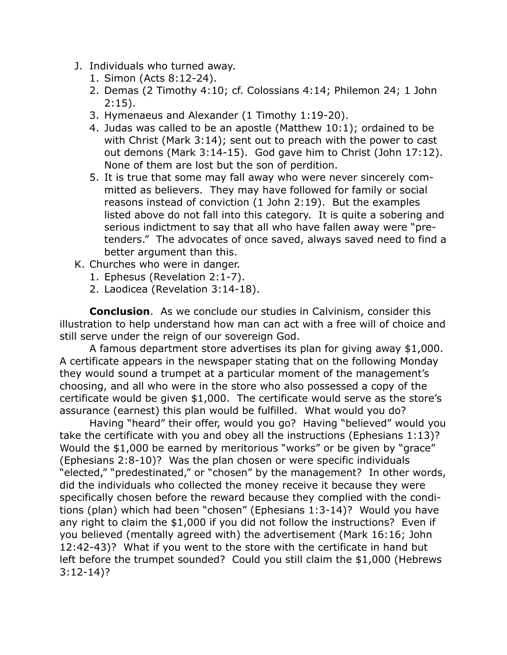- J. Individuals who turned away.
	- 1. Simon (Acts 8:12-24).
	- 2. Demas (2 Timothy 4:10; cf. Colossians 4:14; Philemon 24; 1 John 2:15).
	- 3. Hymenaeus and Alexander (1 Timothy 1:19-20).
	- 4. Judas was called to be an apostle (Matthew 10:1); ordained to be with Christ (Mark 3:14); sent out to preach with the power to cast out demons (Mark 3:14-15). God gave him to Christ (John 17:12). None of them are lost but the son of perdition.
	- 5. It is true that some may fall away who were never sincerely committed as believers. They may have followed for family or social reasons instead of conviction (1 John 2:19). But the examples listed above do not fall into this category. It is quite a sobering and serious indictment to say that all who have fallen away were "pretenders." The advocates of once saved, always saved need to find a better argument than this.
- K. Churches who were in danger.
	- 1. Ephesus (Revelation 2:1-7).
	- 2. Laodicea (Revelation 3:14-18).

**Conclusion**. As we conclude our studies in Calvinism, consider this illustration to help understand how man can act with a free will of choice and still serve under the reign of our sovereign God.

A famous department store advertises its plan for giving away \$1,000. A certificate appears in the newspaper stating that on the following Monday they would sound a trumpet at a particular moment of the management's choosing, and all who were in the store who also possessed a copy of the certificate would be given \$1,000. The certificate would serve as the store's assurance (earnest) this plan would be fulfilled. What would you do?

Having "heard" their offer, would you go? Having "believed" would you take the certificate with you and obey all the instructions (Ephesians 1:13)? Would the \$1,000 be earned by meritorious "works" or be given by "grace" (Ephesians 2:8-10)? Was the plan chosen or were specific individuals "elected," "predestinated," or "chosen" by the management? In other words, did the individuals who collected the money receive it because they were specifically chosen before the reward because they complied with the conditions (plan) which had been "chosen" (Ephesians 1:3-14)? Would you have any right to claim the \$1,000 if you did not follow the instructions? Even if you believed (mentally agreed with) the advertisement (Mark 16:16; John 12:42-43)? What if you went to the store with the certificate in hand but left before the trumpet sounded? Could you still claim the \$1,000 (Hebrews 3:12-14)?